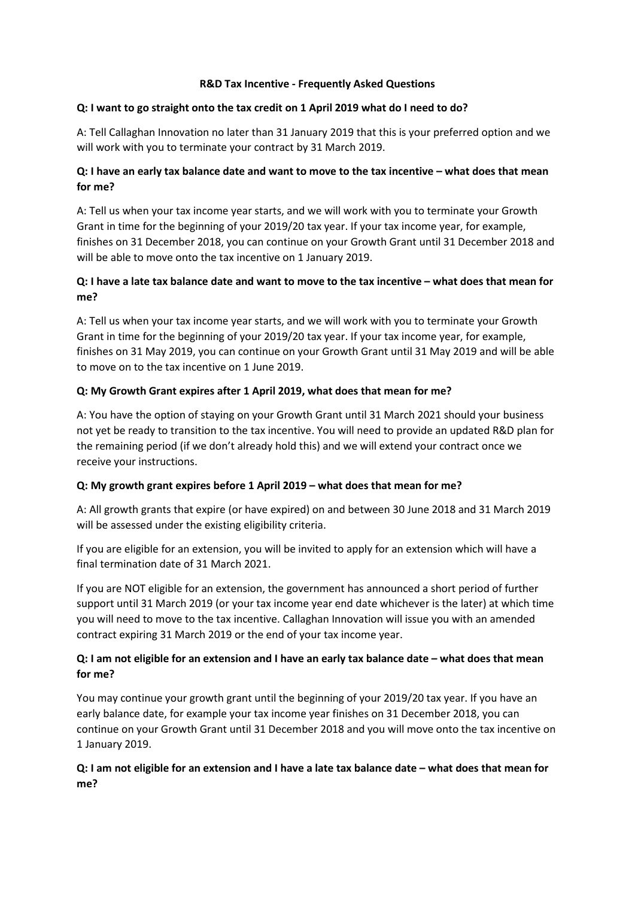#### **R&D Tax Incentive - Frequently Asked Questions**

#### **Q: I want to go straight onto the tax credit on 1 April 2019 what do I need to do?**

A: Tell Callaghan Innovation no later than 31 January 2019 that this is your preferred option and we will work with you to terminate your contract by 31 March 2019.

## **Q: I have an early tax balance date and want to move to the tax incentive – what does that mean for me?**

A: Tell us when your tax income year starts, and we will work with you to terminate your Growth Grant in time for the beginning of your 2019/20 tax year. If your tax income year, for example, finishes on 31 December 2018, you can continue on your Growth Grant until 31 December 2018 and will be able to move onto the tax incentive on 1 January 2019.

## **Q: I have a late tax balance date and want to move to the tax incentive – what does that mean for me?**

A: Tell us when your tax income year starts, and we will work with you to terminate your Growth Grant in time for the beginning of your 2019/20 tax year. If your tax income year, for example, finishes on 31 May 2019, you can continue on your Growth Grant until 31 May 2019 and will be able to move on to the tax incentive on 1 June 2019.

## **Q: My Growth Grant expires after 1 April 2019, what does that mean for me?**

A: You have the option of staying on your Growth Grant until 31 March 2021 should your business not yet be ready to transition to the tax incentive. You will need to provide an updated R&D plan for the remaining period (if we don't already hold this) and we will extend your contract once we receive your instructions.

#### **Q: My growth grant expires before 1 April 2019 – what does that mean for me?**

A: All growth grants that expire (or have expired) on and between 30 June 2018 and 31 March 2019 will be assessed under the existing eligibility criteria.

If you are eligible for an extension, you will be invited to apply for an extension which will have a final termination date of 31 March 2021.

If you are NOT eligible for an extension, the government has announced a short period of further support until 31 March 2019 (or your tax income year end date whichever is the later) at which time you will need to move to the tax incentive. Callaghan Innovation will issue you with an amended contract expiring 31 March 2019 or the end of your tax income year.

## **Q: I am not eligible for an extension and I have an early tax balance date – what does that mean for me?**

You may continue your growth grant until the beginning of your 2019/20 tax year. If you have an early balance date, for example your tax income year finishes on 31 December 2018, you can continue on your Growth Grant until 31 December 2018 and you will move onto the tax incentive on 1 January 2019.

## **Q: I am not eligible for an extension and I have a late tax balance date – what does that mean for me?**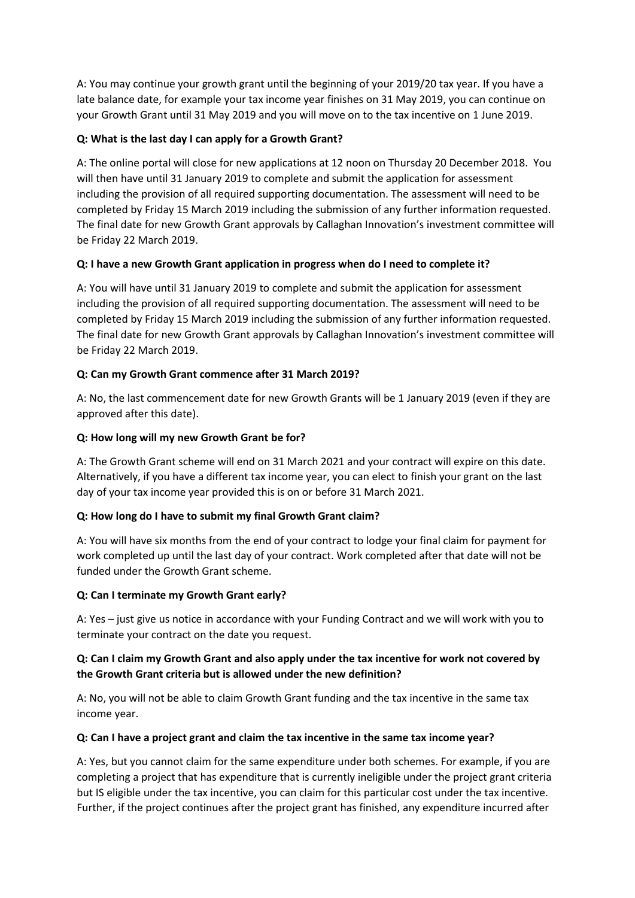A: You may continue your growth grant until the beginning of your 2019/20 tax year. If you have a late balance date, for example your tax income year finishes on 31 May 2019, you can continue on your Growth Grant until 31 May 2019 and you will move on to the tax incentive on 1 June 2019.

# **Q: What is the last day I can apply for a Growth Grant?**

A: The online portal will close for new applications at 12 noon on Thursday 20 December 2018. You will then have until 31 January 2019 to complete and submit the application for assessment including the provision of all required supporting documentation. The assessment will need to be completed by Friday 15 March 2019 including the submission of any further information requested. The final date for new Growth Grant approvals by Callaghan Innovation's investment committee will be Friday 22 March 2019.

## **Q: I have a new Growth Grant application in progress when do I need to complete it?**

A: You will have until 31 January 2019 to complete and submit the application for assessment including the provision of all required supporting documentation. The assessment will need to be completed by Friday 15 March 2019 including the submission of any further information requested. The final date for new Growth Grant approvals by Callaghan Innovation's investment committee will be Friday 22 March 2019.

## **Q: Can my Growth Grant commence after 31 March 2019?**

A: No, the last commencement date for new Growth Grants will be 1 January 2019 (even if they are approved after this date).

## **Q: How long will my new Growth Grant be for?**

A: The Growth Grant scheme will end on 31 March 2021 and your contract will expire on this date. Alternatively, if you have a different tax income year, you can elect to finish your grant on the last day of your tax income year provided this is on or before 31 March 2021.

#### **Q: How long do I have to submit my final Growth Grant claim?**

A: You will have six months from the end of your contract to lodge your final claim for payment for work completed up until the last day of your contract. Work completed after that date will not be funded under the Growth Grant scheme.

#### **Q: Can I terminate my Growth Grant early?**

A: Yes – just give us notice in accordance with your Funding Contract and we will work with you to terminate your contract on the date you request.

## **Q: Can I claim my Growth Grant and also apply under the tax incentive for work not covered by the Growth Grant criteria but is allowed under the new definition?**

A: No, you will not be able to claim Growth Grant funding and the tax incentive in the same tax income year.

#### **Q: Can I have a project grant and claim the tax incentive in the same tax income year?**

A: Yes, but you cannot claim for the same expenditure under both schemes. For example, if you are completing a project that has expenditure that is currently ineligible under the project grant criteria but IS eligible under the tax incentive, you can claim for this particular cost under the tax incentive. Further, if the project continues after the project grant has finished, any expenditure incurred after